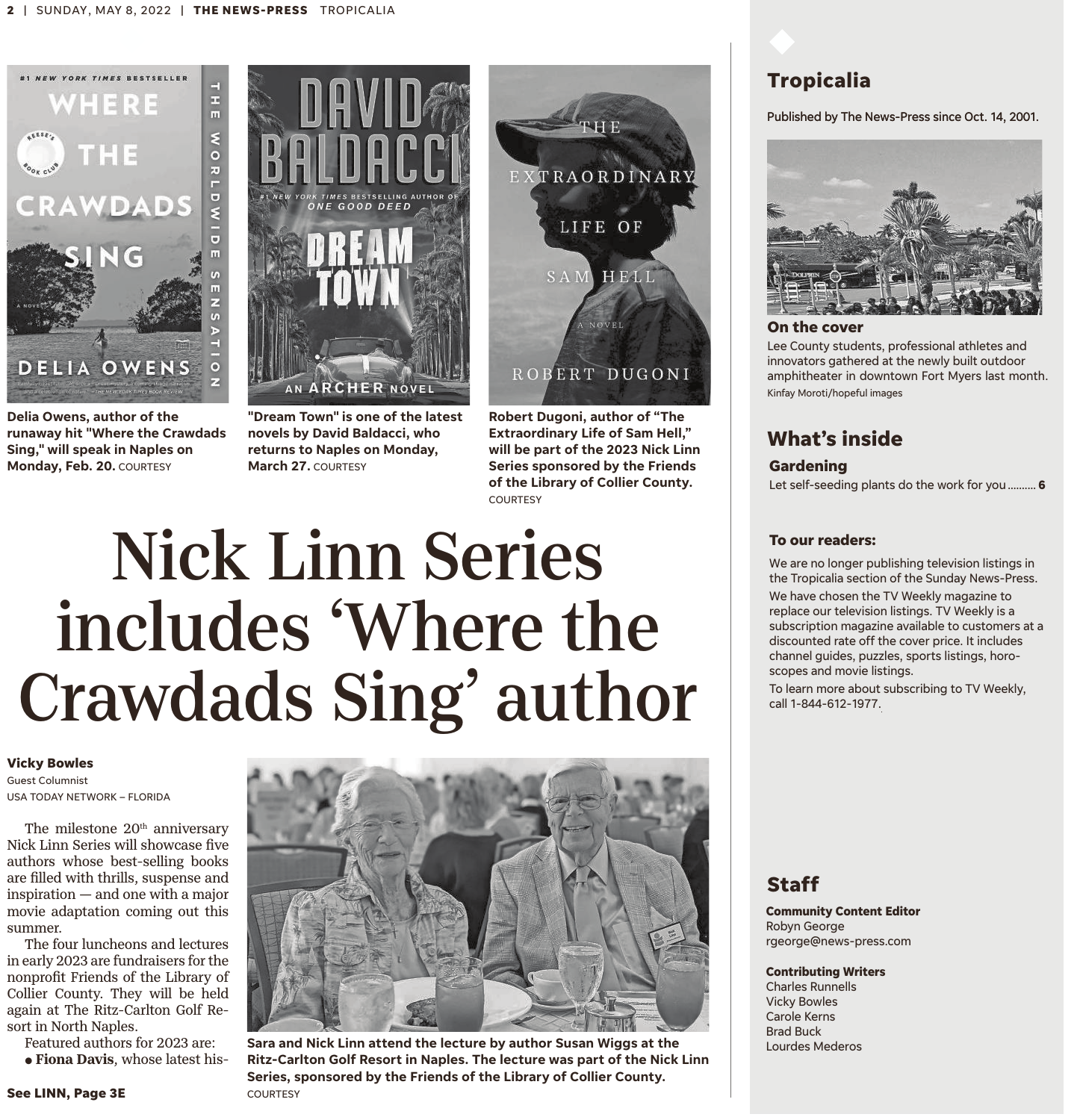

**Delia Owens, author of the runaway hit "Where the Crawdads Sing," will speak in Naples on Monday, Feb. 20.** COURTESY



**"Dream Town" is one of the latest novels by David Baldacci, who returns to Naples on Monday, March 27.** COURTESY



**Robert Dugoni, author of "The Extraordinary Life of Sam Hell," will be part of the 2023 Nick Linn Series sponsored by the Friends of the Library of Collier County.** COURTESY

# Nick Linn Series includes 'Where the Crawdads Sing' author

#### **Vicky Bowles**

Guest Columnist USA TODAY NETWORK – FLORIDA

The milestone  $20<sup>th</sup>$  anniversary Nick Linn Series will showcase five authors whose best-selling books are filled with thrills, suspense and inspiration — and one with a major movie adaptation coming out this summer.

The four luncheons and lectures in early 2023 are fundraisers for the nonprofit Friends of the Library of Collier County. They will be held again at The Ritz-Carlton Golf Resort in North Naples.

Featured authors for 2023 are:  $\bullet$  Fiona Davis, whose latest his-



**Sara and Nick Linn attend the lecture by author Susan Wiggs at the Ritz-Carlton Golf Resort in Naples. The lecture was part of the Nick Linn Series, sponsored by the Friends of the Library of Collier County.**

# **Tropicalia**

#### Published by The News-Press since Oct. 14, 2001.



#### **On the cover**

Lee County students, professional athletes and innovators gathered at the newly built outdoor amphitheater in downtown Fort Myers last month. Kinfay Moroti/hopeful images

# **What's inside**

#### **Gardening**

Let self-seeding plants do the work for you.......... **6**

#### **To our readers:**

We are no longer publishing television listings in the Tropicalia section of the Sunday News-Press. We have chosen the TV Weekly magazine to replace our television listings. TV Weekly is a subscription magazine available to customers at a discounted rate off the cover price. It includes channel guides, puzzles, sports listings, horoscopes and movie listings.

To learn more about subscribing to TV Weekly, call 1-844-612-1977.

## **Staff**

**Community Content Editor** Robyn George rgeorge@news-press.com

**Contributing Writers**

Charles Runnells Vicky Bowles Carole Kerns Brad Buck Lourdes Mederos